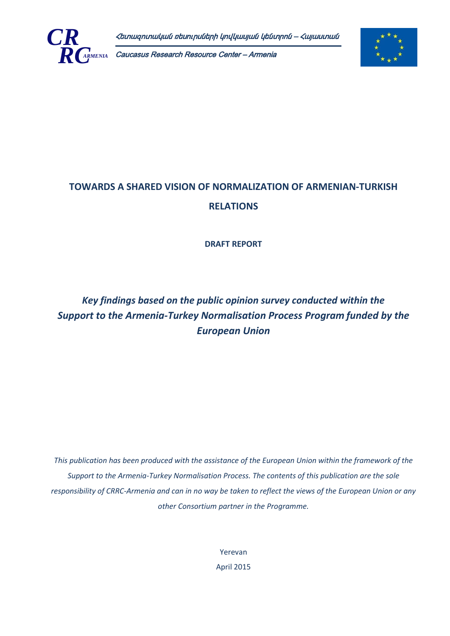

Caucasus Research Resource Center – Armenia



# **TOWARDS A SHARED VISION OF NORMALIZATION OF ARMENIAN-TURKISH RELATIONS**

**DRAFT REPORT**

# *Key findings based on the public opinion survey conducted within the Support to the Armenia-Turkey Normalisation Process Program funded by the European Union*

*This publication has been produced with the assistance of the European Union within the framework of the Support to the Armenia-Turkey Normalisation Process. The contents of this publication are the sole responsibility of CRRC-Armenia and can in no way be taken to reflect the views of the European Union or any other Consortium partner in the Programme.*

> Yerevan April 2015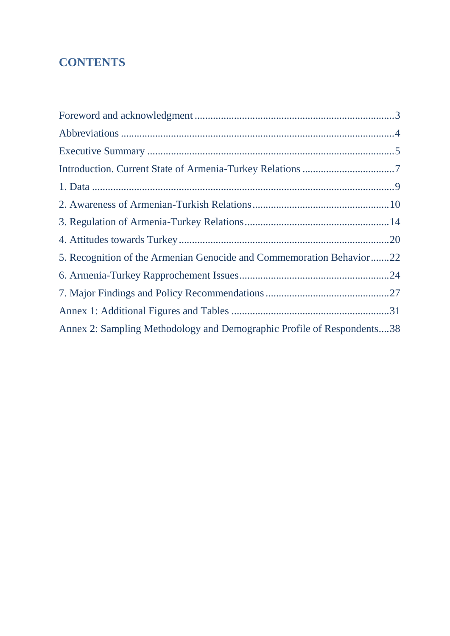# **CONTENTS**

| 5. Recognition of the Armenian Genocide and Commemoration Behavior22   |  |
|------------------------------------------------------------------------|--|
|                                                                        |  |
|                                                                        |  |
|                                                                        |  |
| Annex 2: Sampling Methodology and Demographic Profile of Respondents38 |  |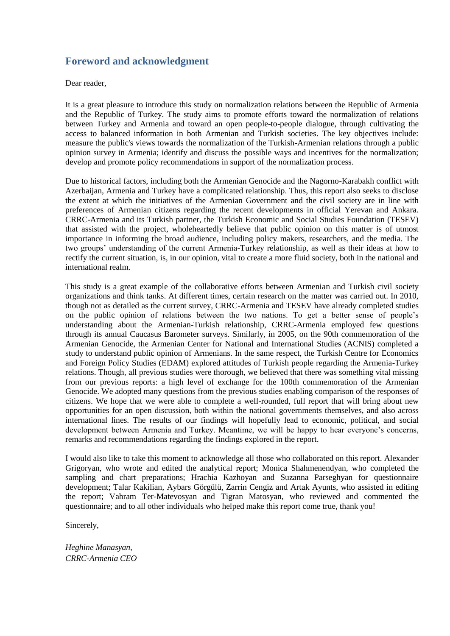# <span id="page-2-0"></span>**Foreword and acknowledgment**

Dear reader,

It is a great pleasure to introduce this study on normalization relations between the Republic of Armenia and the Republic of Turkey. The study aims to promote efforts toward the normalization of relations between Turkey and Armenia and toward an open people-to-people dialogue, through cultivating the access to balanced information in both Armenian and Turkish societies. The key objectives include: measure the public's views towards the normalization of the Turkish-Armenian relations through a public opinion survey in Armenia; identify and discuss the possible ways and incentives for the normalization; develop and promote policy recommendations in support of the normalization process.

Due to historical factors, including both the Armenian Genocide and the Nagorno-Karabakh conflict with Azerbaijan, Armenia and Turkey have a complicated relationship. Thus, this report also seeks to disclose the extent at which the initiatives of the Armenian Government and the civil society are in line with preferences of Armenian citizens regarding the recent developments in official Yerevan and Ankara. CRRC-Armenia and its Turkish partner, the Turkish Economic and Social Studies Foundation (TESEV) that assisted with the project, wholeheartedly believe that public opinion on this matter is of utmost importance in informing the broad audience, including policy makers, researchers, and the media. The two groups' understanding of the current Armenia-Turkey relationship, as well as their ideas at how to rectify the current situation, is, in our opinion, vital to create a more fluid society, both in the national and international realm.

This study is a great example of the collaborative efforts between Armenian and Turkish civil society organizations and think tanks. At different times, certain research on the matter was carried out. In 2010, though not as detailed as the current survey, CRRC-Armenia and TESEV have already completed studies on the public opinion of relations between the two nations. To get a better sense of people's understanding about the Armenian-Turkish relationship, CRRC-Armenia employed few questions through its annual Caucasus Barometer surveys. Similarly, in 2005, on the 90th commemoration of the Armenian Genocide, the Armenian Center for National and International Studies (ACNIS) completed a study to understand public opinion of Armenians. In the same respect, the Turkish Centre for Economics and Foreign Policy Studies (EDAM) explored attitudes of Turkish people regarding the Armenia-Turkey relations. Though, all previous studies were thorough, we believed that there was something vital missing from our previous reports: a high level of exchange for the 100th commemoration of the Armenian Genocide. We adopted many questions from the previous studies enabling comparison of the responses of citizens. We hope that we were able to complete a well-rounded, full report that will bring about new opportunities for an open discussion, both within the national governments themselves, and also across international lines. The results of our findings will hopefully lead to economic, political, and social development between Armenia and Turkey. Meantime, we will be happy to hear everyone's concerns, remarks and recommendations regarding the findings explored in the report.

I would also like to take this moment to acknowledge all those who collaborated on this report. Alexander Grigoryan, who wrote and edited the analytical report; Monica Shahmenendyan, who completed the sampling and chart preparations; Hrachia Kazhoyan and Suzanna Parseghyan for questionnaire development; Talar Kakilian, Aybars Görgülü, Zarrin Cengiz and Artak Ayunts, who assisted in editing the report; Vahram Ter-Matevosyan and Tigran Matosyan, who reviewed and commented the questionnaire; and to all other individuals who helped make this report come true, thank you!

Sincerely,

*Heghine Manasyan, CRRC-Armenia CEO*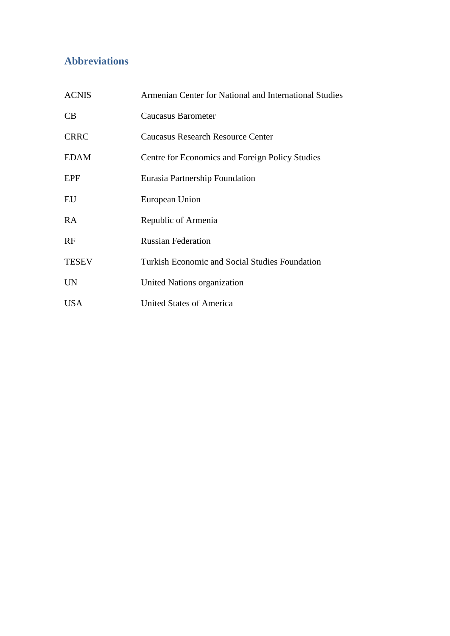# <span id="page-3-0"></span>**Abbreviations**

| <b>ACNIS</b> | Armenian Center for National and International Studies |
|--------------|--------------------------------------------------------|
| CB           | Caucasus Barometer                                     |
| <b>CRRC</b>  | Caucasus Research Resource Center                      |
| <b>EDAM</b>  | Centre for Economics and Foreign Policy Studies        |
| EPF          | Eurasia Partnership Foundation                         |
| EU           | European Union                                         |
| RA           | Republic of Armenia                                    |
| RF           | <b>Russian Federation</b>                              |
| <b>TESEV</b> | Turkish Economic and Social Studies Foundation         |
| <b>UN</b>    | United Nations organization                            |
| <b>USA</b>   | <b>United States of America</b>                        |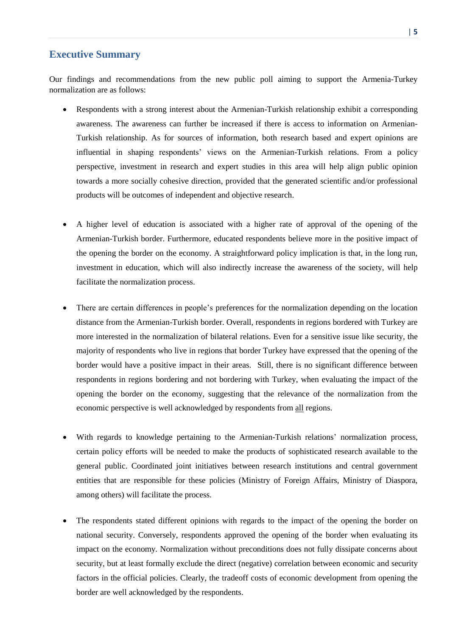# <span id="page-4-0"></span>**Executive Summary**

Our findings and recommendations from the new public poll aiming to support the Armenia-Turkey normalization are as follows:

- Respondents with a strong interest about the Armenian-Turkish relationship exhibit a corresponding awareness. The awareness can further be increased if there is access to information on Armenian-Turkish relationship. As for sources of information, both research based and expert opinions are influential in shaping respondents' views on the Armenian-Turkish relations. From a policy perspective, investment in research and expert studies in this area will help align public opinion towards a more socially cohesive direction, provided that the generated scientific and/or professional products will be outcomes of independent and objective research.
- A higher level of education is associated with a higher rate of approval of the opening of the Armenian-Turkish border. Furthermore, educated respondents believe more in the positive impact of the opening the border on the economy. A straightforward policy implication is that, in the long run, investment in education, which will also indirectly increase the awareness of the society, will help facilitate the normalization process.
- There are certain differences in people's preferences for the normalization depending on the location distance from the Armenian-Turkish border. Overall, respondents in regions bordered with Turkey are more interested in the normalization of bilateral relations. Even for a sensitive issue like security, the majority of respondents who live in regions that border Turkey have expressed that the opening of the border would have a positive impact in their areas. Still, there is no significant difference between respondents in regions bordering and not bordering with Turkey, when evaluating the impact of the opening the border on the economy, suggesting that the relevance of the normalization from the economic perspective is well acknowledged by respondents from all regions.
- With regards to knowledge pertaining to the Armenian-Turkish relations' normalization process, certain policy efforts will be needed to make the products of sophisticated research available to the general public. Coordinated joint initiatives between research institutions and central government entities that are responsible for these policies (Ministry of Foreign Affairs, Ministry of Diaspora, among others) will facilitate the process.
- The respondents stated different opinions with regards to the impact of the opening the border on national security. Conversely, respondents approved the opening of the border when evaluating its impact on the economy. Normalization without preconditions does not fully dissipate concerns about security, but at least formally exclude the direct (negative) correlation between economic and security factors in the official policies. Clearly, the tradeoff costs of economic development from opening the border are well acknowledged by the respondents.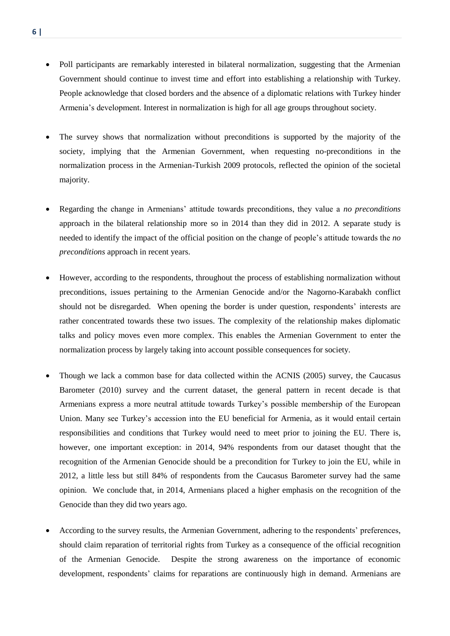- Poll participants are remarkably interested in bilateral normalization, suggesting that the Armenian Government should continue to invest time and effort into establishing a relationship with Turkey. People acknowledge that closed borders and the absence of a diplomatic relations with Turkey hinder Armenia's development. Interest in normalization is high for all age groups throughout society.
- The survey shows that normalization without preconditions is supported by the majority of the society, implying that the Armenian Government, when requesting no-preconditions in the normalization process in the Armenian-Turkish 2009 protocols, reflected the opinion of the societal majority.
- Regarding the change in Armenians' attitude towards preconditions, they value a *no preconditions* approach in the bilateral relationship more so in 2014 than they did in 2012. A separate study is needed to identify the impact of the official position on the change of people's attitude towards the *no preconditions* approach in recent years.
- However, according to the respondents, throughout the process of establishing normalization without preconditions, issues pertaining to the Armenian Genocide and/or the Nagorno-Karabakh conflict should not be disregarded. When opening the border is under question, respondents' interests are rather concentrated towards these two issues. The complexity of the relationship makes diplomatic talks and policy moves even more complex. This enables the Armenian Government to enter the normalization process by largely taking into account possible consequences for society.
- Though we lack a common base for data collected within the ACNIS (2005) survey, the Caucasus Barometer (2010) survey and the current dataset, the general pattern in recent decade is that Armenians express a more neutral attitude towards Turkey's possible membership of the European Union. Many see Turkey's accession into the EU beneficial for Armenia, as it would entail certain responsibilities and conditions that Turkey would need to meet prior to joining the EU. There is, however, one important exception: in 2014, 94% respondents from our dataset thought that the recognition of the Armenian Genocide should be a precondition for Turkey to join the EU, while in 2012, a little less but still 84% of respondents from the Caucasus Barometer survey had the same opinion. We conclude that, in 2014, Armenians placed a higher emphasis on the recognition of the Genocide than they did two years ago.
- According to the survey results, the Armenian Government, adhering to the respondents' preferences, should claim reparation of territorial rights from Turkey as a consequence of the official recognition of the Armenian Genocide. Despite the strong awareness on the importance of economic development, respondents' claims for reparations are continuously high in demand. Armenians are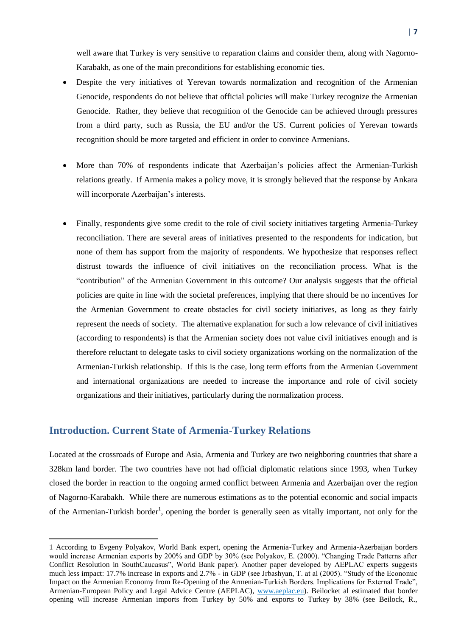well aware that Turkey is very sensitive to reparation claims and consider them, along with Nagorno-Karabakh, as one of the main preconditions for establishing economic ties.

- Despite the very initiatives of Yerevan towards normalization and recognition of the Armenian Genocide, respondents do not believe that official policies will make Turkey recognize the Armenian Genocide. Rather, they believe that recognition of the Genocide can be achieved through pressures from a third party, such as Russia, the EU and/or the US. Current policies of Yerevan towards recognition should be more targeted and efficient in order to convince Armenians.
- More than 70% of respondents indicate that Azerbaijan's policies affect the Armenian-Turkish relations greatly. If Armenia makes a policy move, it is strongly believed that the response by Ankara will incorporate Azerbaijan's interests.
- Finally, respondents give some credit to the role of civil society initiatives targeting Armenia-Turkey reconciliation. There are several areas of initiatives presented to the respondents for indication, but none of them has support from the majority of respondents. We hypothesize that responses reflect distrust towards the influence of civil initiatives on the reconciliation process. What is the "contribution" of the Armenian Government in this outcome? Our analysis suggests that the official policies are quite in line with the societal preferences, implying that there should be no incentives for the Armenian Government to create obstacles for civil society initiatives, as long as they fairly represent the needs of society. The alternative explanation for such a low relevance of civil initiatives (according to respondents) is that the Armenian society does not value civil initiatives enough and is therefore reluctant to delegate tasks to civil society organizations working on the normalization of the Armenian-Turkish relationship. If this is the case, long term efforts from the Armenian Government and international organizations are needed to increase the importance and role of civil society organizations and their initiatives, particularly during the normalization process.

## <span id="page-6-0"></span>**Introduction. Current State of Armenia-Turkey Relations**

 $\overline{a}$ 

Located at the crossroads of Europe and Asia, Armenia and Turkey are two neighboring countries that share a 328km land border. The two countries have not had official diplomatic relations since 1993, when Turkey closed the border in reaction to the ongoing armed conflict between Armenia and Azerbaijan over the region of Nagorno-Karabakh. While there are numerous estimations as to the potential economic and social impacts of the Armenian-Turkish border<sup>1</sup>, opening the border is generally seen as vitally important, not only for the

<sup>1</sup> According to Evgeny Polyakov, World Bank expert, opening the Armenia-Turkey and Armenia-Azerbaijan borders would increase Armenian exports by 200% and GDP by 30% (see Polyakov, E. (2000). "Changing Trade Patterns after Conflict Resolution in SouthCaucasus", World Bank paper). Another paper developed by AEPLAC experts suggests much less impact: 17.7% increase in exports and 2.7% - in GDP (see Jrbashyan, T. at al (2005). "Study of the Economic Impact on the Armenian Economy from Re-Opening of the Armenian-Turkish Borders. Implications for External Trade", Armenian-European Policy and Legal Advice Centre (AEPLAC), [www.aeplac.eu\)](http://www.aeplac.eu/). Beilocket al estimated that border opening will increase Armenian imports from Turkey by 50% and exports to Turkey by 38% (see Beilock, R.,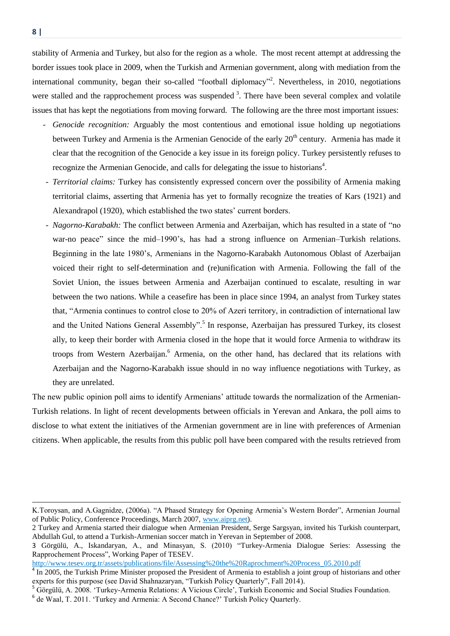stability of Armenia and Turkey, but also for the region as a whole. The most recent attempt at addressing the border issues took place in 2009, when the Turkish and Armenian government, along with mediation from the international community, began their so-called "football diplomacy"<sup>2</sup>. Nevertheless, in 2010, negotiations were stalled and the rapprochement process was suspended  $3$ . There have been several complex and volatile issues that has kept the negotiations from moving forward. The following are the three most important issues:

- *- Genocide recognition:* Arguably the most contentious and emotional issue holding up negotiations between Turkey and Armenia is the Armenian Genocide of the early 20<sup>th</sup> century. Armenia has made it clear that the recognition of the Genocide a key issue in its foreign policy. Turkey persistently refuses to recognize the Armenian Genocide, and calls for delegating the issue to historians<sup>4</sup>.
- *- Territorial claims:* Turkey has consistently expressed concern over the possibility of Armenia making territorial claims, asserting that Armenia has yet to formally recognize the treaties of Kars (1921) and Alexandrapol (1920), which established the two states' current borders.
- *- Nagorno-Karabakh:* The conflict between Armenia and Azerbaijan, which has resulted in a state of "no war-no peace" since the mid–1990's, has had a strong influence on Armenian–Turkish relations. Beginning in the late 1980's, Armenians in the [Nagorno-Karabakh Autonomous Oblast](http://en.wikipedia.org/wiki/Nagorno-Karabakh_Autonomous_Oblast) of Azerbaijan voiced their right to self-determination and (re)unification with Armenia. Following the fall of the Soviet Union, the issues between Armenia and Azerbaijan continued to escalate, resulting in war between the two nations. While a ceasefire has been in place since 1994, an analyst from Turkey states that, "Armenia continues to control close to 20% of Azeri territory, in contradiction of international law and the United Nations General Assembly".<sup>5</sup> In response, Azerbaijan has pressured Turkey, its closest ally, to keep their border with Armenia closed in the hope that it would force Armenia to withdraw its troops from Western Azerbaijan.<sup>6</sup> Armenia, on the other hand, has declared that its relations with Azerbaijan and the Nagorno-Karabakh issue should in no way influence negotiations with Turkey, as they are unrelated.

The new public opinion poll aims to identify Armenians' attitude towards the normalization of the Armenian-Turkish relations. In light of recent developments between officials in Yerevan and Ankara, the poll aims to disclose to what extent the initiatives of the Armenian government are in line with preferences of Armenian citizens. When applicable, the results from this public poll have been compared with the results retrieved from

http://www.tesev.org.tr/assets/publications/file/Assessing%20the%20Raprochment%20Process\_05.2010.pdf

-

K.Toroysan, and A.Gagnidze, (2006a). "A Phased Strategy for Opening Armenia's Western Border", Armenian Journal of Public Policy, Conference Proceedings, March 2007, [www.aiprg.net\)](http://www.aiprg.net/).

<sup>2</sup> Turkey and Armenia started their dialogue when Armenian President, Serge Sargsyan, invited his Turkish counterpart, Abdullah Gul, to attend a Turkish-Armenian soccer match in Yerevan in September of 2008.

<sup>3</sup> Görgülü, A., Iskandaryan, A., and Minasyan, S. (2010) "Turkey-Armenia Dialogue Series: Assessing the Rapprochement Process", Working Paper of TESEV.

 $4 \text{ In } 2005$ , the Turkish Prime Minister proposed the President of Armenia to establish a joint group of historians and other experts for this purpose (see David Shahnazaryan, "Turkish Policy Quarterly", Fall 2014).

<sup>5</sup> Görgülü, A. 2008. 'Turkey-Armenia Relations: A Vicious Circle', Turkish Economic and Social Studies Foundation.

<sup>&</sup>lt;sup>6</sup> de Waal, T. 2011. 'Turkey and Armenia: A Second Chance?' Turkish Policy Quarterly.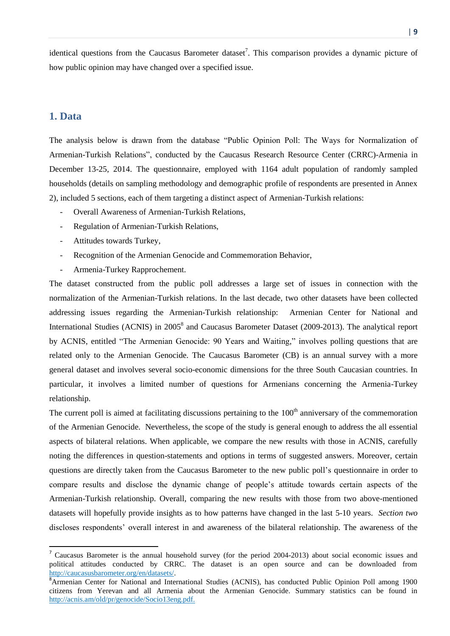identical questions from the Caucasus Barometer dataset<sup>7</sup>. This comparison provides a dynamic picture of how public opinion may have changed over a specified issue.

## <span id="page-8-0"></span>**1. Data**

 $\overline{a}$ 

The analysis below is drawn from the database "Public Opinion Poll: The Ways for Normalization of Armenian-Turkish Relations", conducted by the Caucasus Research Resource Center (CRRC)-Armenia in December 13-25, 2014. The questionnaire, employed with 1164 adult population of randomly sampled households (details on sampling methodology and demographic profile of respondents are presented in Annex 2), included 5 sections, each of them targeting a distinct aspect of Armenian-Turkish relations:

- *-* Overall Awareness of Armenian-Turkish Relations,
- *-* Regulation of Armenian-Turkish Relations,
- *-* Attitudes towards Turkey,
- *-* Recognition of the Armenian Genocide and Commemoration Behavior,
- *-* Armenia-Turkey Rapprochement.

The dataset constructed from the public poll addresses a large set of issues in connection with the normalization of the Armenian-Turkish relations. In the last decade, two other datasets have been collected addressing issues regarding the Armenian-Turkish relationship: Armenian Center for National and International Studies (ACNIS) in 2005<sup>8</sup> and Caucasus Barometer Dataset (2009-2013). The analytical report by ACNIS, entitled "The Armenian Genocide: 90 Years and Waiting," involves polling questions that are related only to the Armenian Genocide. The Caucasus Barometer (CB) is an annual survey with a more general dataset and involves several socio-economic dimensions for the three South Caucasian countries. In particular, it involves a limited number of questions for Armenians concerning the Armenia-Turkey relationship.

The current poll is aimed at facilitating discussions pertaining to the  $100<sup>th</sup>$  anniversary of the commemoration of the Armenian Genocide. Nevertheless, the scope of the study is general enough to address the all essential aspects of bilateral relations. When applicable, we compare the new results with those in ACNIS, carefully noting the differences in question-statements and options in terms of suggested answers. Moreover, certain questions are directly taken from the Caucasus Barometer to the new public poll's questionnaire in order to compare results and disclose the dynamic change of people's attitude towards certain aspects of the Armenian-Turkish relationship. Overall, comparing the new results with those from two above-mentioned datasets will hopefully provide insights as to how patterns have changed in the last 5-10 years. *Section two* discloses respondents' overall interest in and awareness of the bilateral relationship. The awareness of the

<sup>&</sup>lt;sup>7</sup> Caucasus Barometer is the annual household survey (for the period 2004-2013) about social economic issues and political attitudes conducted by CRRC. The dataset is an open source and can be downloaded from [http://caucasusbarometer.org/en/datasets/.](http://caucasusbarometer.org/en/datasets/) 

<sup>&</sup>lt;sup>8</sup>Armenian Center for National and International Studies (ACNIS), has conducted Public Opinion Poll among 1900 citizens from Yerevan and all Armenia about the Armenian Genocide. Summary statistics can be found in [http://acnis.am/old/pr/genocide/Socio13eng.pdf.](http://acnis.am/old/pr/genocide/Socio13eng.pdf)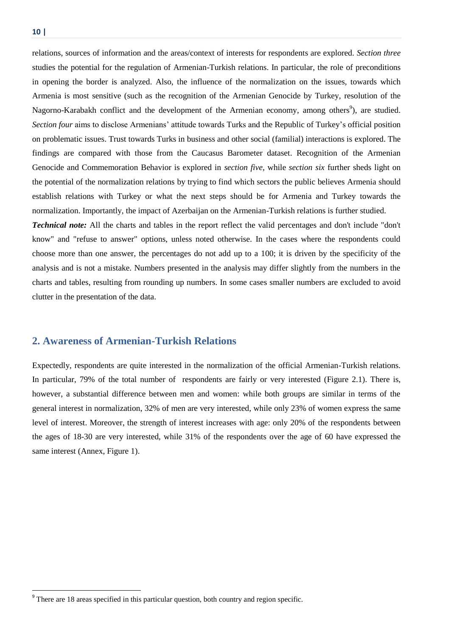$\overline{a}$ 

relations, sources of information and the areas/context of interests for respondents are explored. *Section three* studies the potential for the regulation of Armenian-Turkish relations. In particular, the role of preconditions in opening the border is analyzed. Also, the influence of the normalization on the issues, towards which Armenia is most sensitive (such as the recognition of the Armenian Genocide by Turkey, resolution of the Nagorno-Karabakh conflict and the development of the Armenian economy, among others<sup>9</sup>), are studied. *Section four* aims to disclose Armenians' attitude towards Turks and the Republic of Turkey's official position on problematic issues. Trust towards Turks in business and other social (familial) interactions is explored. The findings are compared with those from the Caucasus Barometer dataset. Recognition of the Armenian Genocide and Commemoration Behavior is explored in *section five,* while *section six* further sheds light on the potential of the normalization relations by trying to find which sectors the public believes Armenia should establish relations with Turkey or what the next steps should be for Armenia and Turkey towards the normalization. Importantly, the impact of Azerbaijan on the Armenian-Turkish relations is further studied.

*Technical note:* All the charts and tables in the report reflect the valid percentages and don't include "don't know" and "refuse to answer" options, unless noted otherwise. In the cases where the respondents could choose more than one answer, the percentages do not add up to a 100; it is driven by the specificity of the analysis and is not a mistake. Numbers presented in the analysis may differ slightly from the numbers in the charts and tables, resulting from rounding up numbers. In some cases smaller numbers are excluded to avoid clutter in the presentation of the data.

# <span id="page-9-0"></span>**2. Awareness of Armenian-Turkish Relations**

Expectedly, respondents are quite interested in the normalization of the official Armenian-Turkish relations. In particular, 79% of the total number of respondents are fairly or very interested (Figure 2.1). There is, however, a substantial difference between men and women: while both groups are similar in terms of the general interest in normalization, 32% of men are very interested, while only 23% of women express the same level of interest. Moreover, the strength of interest increases with age: only 20% of the respondents between the ages of 18-30 are very interested, while 31% of the respondents over the age of 60 have expressed the same interest (Annex, Figure 1).

<sup>&</sup>lt;sup>9</sup> There are 18 areas specified in this particular question, both country and region specific.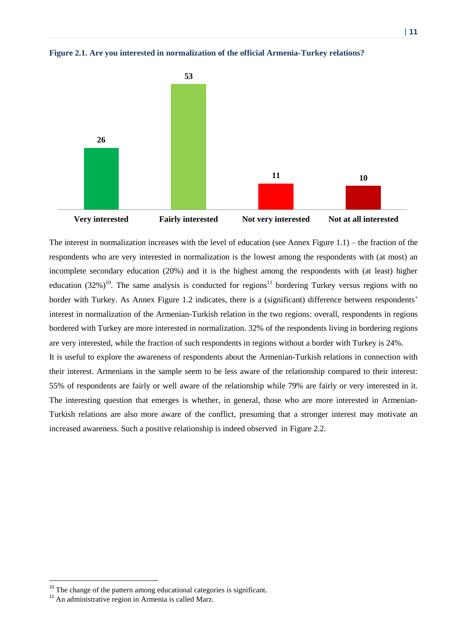

**Figure 2.1. Are you interested in normalization of the official Armenia-Turkey relations?**

The interest in normalization increases with the level of education (see Annex Figure 1.1) – the fraction of the respondents who are very interested in normalization is the lowest among the respondents with (at most) an incomplete secondary education (20%) and it is the highest among the respondents with (at least) higher education  $(32\%)^{10}$ . The same analysis is conducted for regions<sup>11</sup> bordering Turkey versus regions with no border with Turkey. As Annex Figure 1.2 indicates, there is a (significant) difference between respondents' interest in normalization of the Armenian-Turkish relation in the two regions: overall, respondents in regions bordered with Turkey are more interested in normalization. 32% of the respondents living in bordering regions are very interested, while the fraction of such respondents in regions without a border with Turkey is 24%. It is useful to explore the awareness of respondents about the Armenian-Turkish relations in connection with

their interest. Armenians in the sample seem to be less aware of the relationship compared to their interest: 55% of respondents are fairly or well aware of the relationship while 79% are fairly or very interested in it. The interesting question that emerges is whether, in general, those who are more interested in Armenian-Turkish relations are also more aware of the conflict, presuming that a stronger interest may motivate an increased awareness. Such a positive relationship is indeed observed in Figure 2.2.

<sup>&</sup>lt;sup>10</sup> The change of the pattern among educational categories is significant.

<sup>&</sup>lt;sup>11</sup> An administrative region in Armenia is called Marz.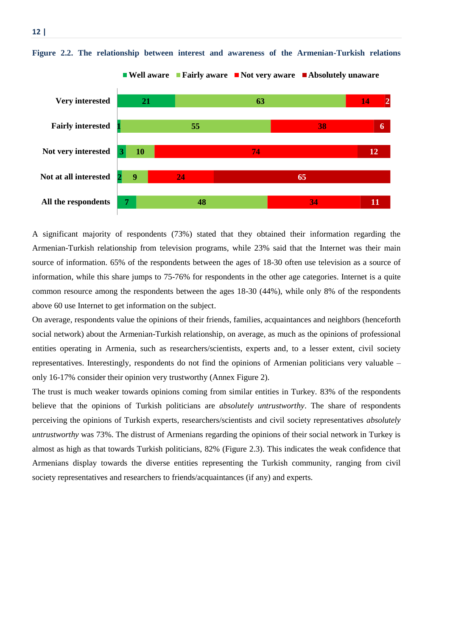

**Figure 2.2. The relationship between interest and awareness of the Armenian-Turkish relations**

A significant majority of respondents (73%) stated that they obtained their information regarding the Armenian-Turkish relationship from television programs, while 23% said that the Internet was their main source of information. 65% of the respondents between the ages of 18-30 often use television as a source of information, while this share jumps to 75-76% for respondents in the other age categories. Internet is a quite common resource among the respondents between the ages 18-30 (44%), while only 8% of the respondents above 60 use Internet to get information on the subject.

On average, respondents value the opinions of their friends, families, acquaintances and neighbors (henceforth social network) about the Armenian-Turkish relationship, on average, as much as the opinions of professional entities operating in Armenia, such as researchers/scientists, experts and, to a lesser extent, civil society representatives. Interestingly, respondents do not find the opinions of Armenian politicians very valuable – only 16-17% consider their opinion very trustworthy (Annex Figure 2).

The trust is much weaker towards opinions coming from similar entities in Turkey. 83% of the respondents believe that the opinions of Turkish politicians are *absolutely untrustworthy*. The share of respondents perceiving the opinions of Turkish experts, researchers/scientists and civil society representatives *absolutely untrustworthy* was 73%. The distrust of Armenians regarding the opinions of their social network in Turkey is almost as high as that towards Turkish politicians, 82% (Figure 2.3). This indicates the weak confidence that Armenians display towards the diverse entities representing the Turkish community, ranging from civil society representatives and researchers to friends/acquaintances (if any) and experts.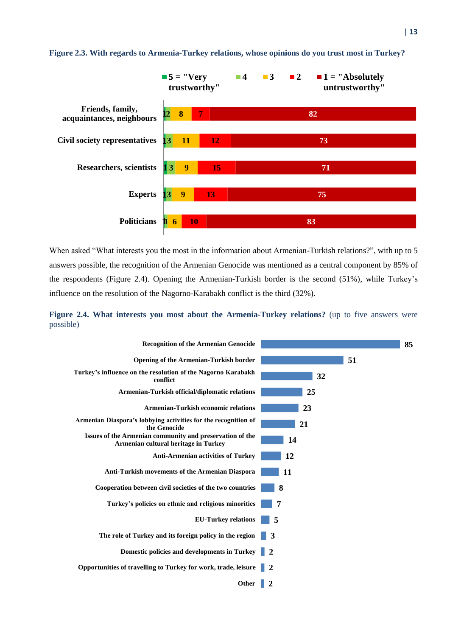

#### **Figure 2.3. With regards to Armenia-Turkey relations, whose opinions do you trust most in Turkey?**

When asked "What interests you the most in the information about Armenian-Turkish relations?", with up to 5 answers possible, the recognition of the Armenian Genocide was mentioned as a central component by 85% of the respondents (Figure 2.4). Opening the Armenian-Turkish border is the second (51%), while Turkey's influence on the resolution of the Nagorno-Karabakh conflict is the third (32%).

**Figure 2.4. What interests you most about the Armenia-Turkey relations?** (up to five answers were possible)

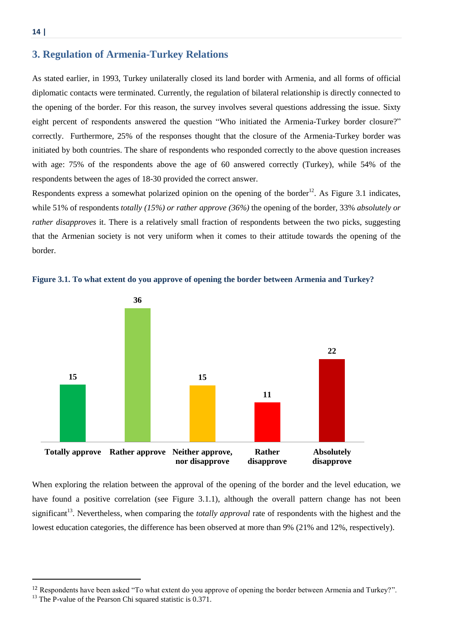# <span id="page-13-0"></span>**3. Regulation of Armenia-Turkey Relations**

As stated earlier, in 1993, Turkey unilaterally closed its land border with Armenia, and all forms of official diplomatic contacts were terminated. Currently, the regulation of bilateral relationship is directly connected to the opening of the border. For this reason, the survey involves several questions addressing the issue. Sixty eight percent of respondents answered the question "Who initiated the Armenia-Turkey border closure?" correctly. Furthermore, 25% of the responses thought that the closure of the Armenia-Turkey border was initiated by both countries. The share of respondents who responded correctly to the above question increases with age: 75% of the respondents above the age of 60 answered correctly (Turkey), while 54% of the respondents between the ages of 18-30 provided the correct answer.

Respondents express a somewhat polarized opinion on the opening of the border<sup>12</sup>. As Figure 3.1 indicates, while 51% of respondents *totally (15%) or rather approve (36%)* the opening of the border, 33% *absolutely or rather disapproves* it. There is a relatively small fraction of respondents between the two picks, suggesting that the Armenian society is not very uniform when it comes to their attitude towards the opening of the border.





When exploring the relation between the approval of the opening of the border and the level education, we have found a positive correlation (see Figure 3.1.1), although the overall pattern change has not been significant<sup>13</sup>. Nevertheless, when comparing the *totally approval* rate of respondents with the highest and the lowest education categories, the difference has been observed at more than 9% (21% and 12%, respectively).

<sup>&</sup>lt;sup>12</sup> Respondents have been asked "To what extent do you approve of opening the border between Armenia and Turkey?".

<sup>&</sup>lt;sup>13</sup> The P-value of the Pearson Chi squared statistic is 0.371.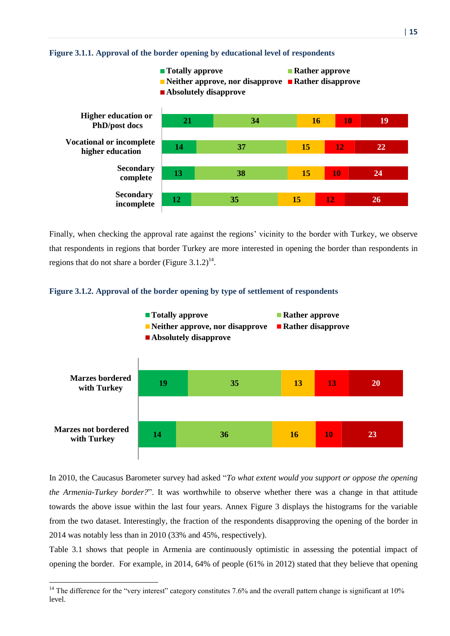

#### **Figure 3.1.1. Approval of the border opening by educational level of respondents**

Finally, when checking the approval rate against the regions' vicinity to the border with Turkey, we observe that respondents in regions that border Turkey are more interested in opening the border than respondents in regions that do not share a border (Figure  $3.1.2$ )<sup>14</sup>.





In 2010, the Caucasus Barometer survey had asked "*To what extent would you support or oppose the opening the Armenia-Turkey border?*". It was worthwhile to observe whether there was a change in that attitude towards the above issue within the last four years. Annex Figure 3 displays the histograms for the variable from the two dataset. Interestingly, the fraction of the respondents disapproving the opening of the border in 2014 was notably less than in 2010 (33% and 45%, respectively).

Table 3.1 shows that people in Armenia are continuously optimistic in assessing the potential impact of opening the border. For example, in 2014, 64% of people (61% in 2012) stated that they believe that opening

<sup>&</sup>lt;sup>14</sup> The difference for the "very interest" category constitutes 7.6% and the overall pattern change is significant at  $10\%$ level.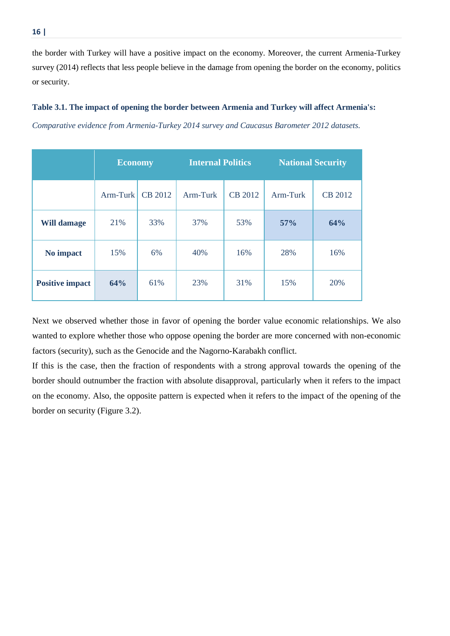the border with Turkey will have a positive impact on the economy. Moreover, the current Armenia-Turkey survey (2014) reflects that less people believe in the damage from opening the border on the economy, politics or security.

#### **Table 3.1. The impact of opening the border between Armenia and Turkey will affect Armenia's:**

*Comparative evidence from Armenia-Turkey 2014 survey and Caucasus Barometer 2012 datasets.*

|                        | <b>Economy</b> |         |          | <b>Internal Politics</b> |          | <b>National Security</b> |
|------------------------|----------------|---------|----------|--------------------------|----------|--------------------------|
|                        | $Arm-Turk$     | CB 2012 | Arm-Turk | CB 2012                  | Arm-Turk | CB 2012                  |
| <b>Will damage</b>     | 21%            | 33%     | 37%      | 53%                      | 57%      | 64%                      |
| No impact              | 15%            | 6%      | 40%      | 16%                      | 28%      | 16%                      |
| <b>Positive impact</b> | 64%            | 61%     | 23%      | 31%                      | 15%      | 20%                      |

Next we observed whether those in favor of opening the border value economic relationships. We also wanted to explore whether those who oppose opening the border are more concerned with non-economic factors (security), such as the Genocide and the Nagorno-Karabakh conflict.

If this is the case, then the fraction of respondents with a strong approval towards the opening of the border should outnumber the fraction with absolute disapproval, particularly when it refers to the impact on the economy. Also, the opposite pattern is expected when it refers to the impact of the opening of the border on security (Figure 3.2).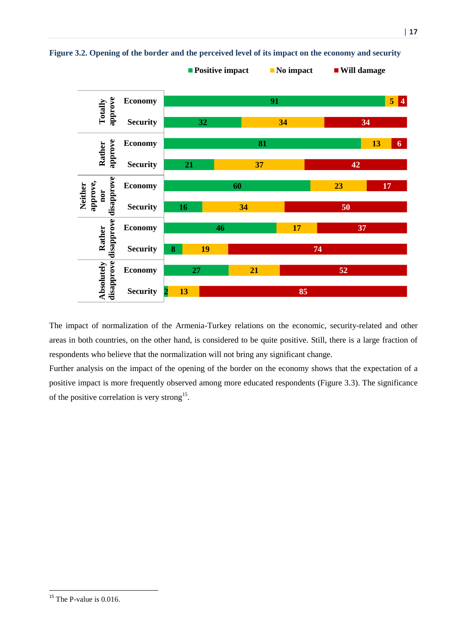

**Figure 3.2. Opening of the border and the perceived level of its impact on the economy and security**

The impact of normalization of the Armenia-Turkey relations on the economic, security-related and other areas in both countries, on the other hand, is considered to be quite positive. Still, there is a large fraction of respondents who believe that the normalization will not bring any significant change.

Further analysis on the impact of the opening of the border on the economy shows that the expectation of a positive impact is more frequently observed among more educated respondents (Figure 3.3). The significance of the positive correlation is very strong<sup>15</sup>.

 $15$  The P-value is 0.016.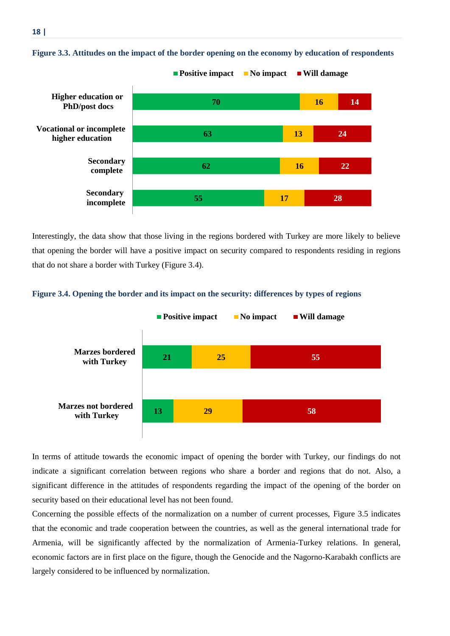

# **Figure 3.3. Attitudes on the impact of the border opening on the economy by education of respondents**

Interestingly, the data show that those living in the regions bordered with Turkey are more likely to believe that opening the border will have a positive impact on security compared to respondents residing in regions that do not share a border with Turkey (Figure 3.4).





In terms of attitude towards the economic impact of opening the border with Turkey, our findings do not indicate a significant correlation between regions who share a border and regions that do not. Also, a significant difference in the attitudes of respondents regarding the impact of the opening of the border on security based on their educational level has not been found.

Concerning the possible effects of the normalization on a number of current processes, Figure 3.5 indicates that the economic and trade cooperation between the countries, as well as the general international trade for Armenia, will be significantly affected by the normalization of Armenia-Turkey relations. In general, economic factors are in first place on the figure, though the Genocide and the Nagorno-Karabakh conflicts are largely considered to be influenced by normalization.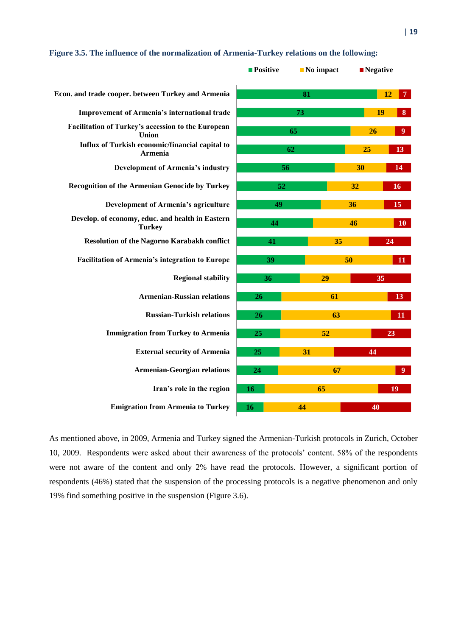|                                                                   | $\blacksquare$ Positive | $\blacksquare$ No impact | $\blacksquare$ Negative |                        |  |
|-------------------------------------------------------------------|-------------------------|--------------------------|-------------------------|------------------------|--|
| Econ. and trade cooper. between Turkey and Armenia                |                         | 81                       |                         | 12                     |  |
| Improvement of Armenia's international trade                      | 73                      |                          |                         | 19<br>$\boldsymbol{8}$ |  |
| Facilitation of Turkey's accession to the European<br>Union       |                         | 65                       | 26                      | $\boldsymbol{9}$       |  |
| Influx of Turkish economic/financial capital to<br><b>Armenia</b> |                         | 62                       | 25                      | 13                     |  |
| <b>Development of Armenia's industry</b>                          | 56                      |                          | 30                      | 14                     |  |
| <b>Recognition of the Armenian Genocide by Turkey</b>             | 52                      |                          | 32                      | 16                     |  |
| Development of Armenia's agriculture                              | 49                      |                          | 36                      | 15                     |  |
| Develop. of economy, educ. and health in Eastern<br><b>Turkey</b> | 44                      |                          | 46                      | <b>10</b>              |  |
| <b>Resolution of the Nagorno Karabakh conflict</b>                | 41                      |                          | 35                      | 24                     |  |
| <b>Facilitation of Armenia's integration to Europe</b>            | 39                      |                          | 50                      | 11                     |  |
| <b>Regional stability</b>                                         | 36                      | 29                       | 35                      |                        |  |
| <b>Armenian-Russian relations</b>                                 | 26                      | 61                       |                         | 13                     |  |
| <b>Russian-Turkish relations</b>                                  | 26                      | 63                       |                         | 11                     |  |
| <b>Immigration from Turkey to Armenia</b>                         | 25                      | 52                       |                         | 23                     |  |
| <b>External security of Armenia</b>                               | 25                      | 31                       | 44                      |                        |  |
| <b>Armenian-Georgian relations</b>                                | 24                      | 67                       |                         | 9                      |  |
| Iran's role in the region                                         | 16                      | 65                       |                         | 19                     |  |
| <b>Emigration from Armenia to Turkey</b>                          | 16                      | 44                       | 40                      |                        |  |
|                                                                   |                         |                          |                         |                        |  |

#### **Figure 3.5. The influence of the normalization of Armenia-Turkey relations on the following:**

As mentioned above, in 2009, Armenia and Turkey signed the Armenian-Turkish protocols in Zurich, October 10, 2009. Respondents were asked about their awareness of the protocols' content. 58% of the respondents were not aware of the content and only 2% have read the protocols. However, a significant portion of respondents (46%) stated that the suspension of the processing protocols is a negative phenomenon and only 19% find something positive in the suspension (Figure 3.6).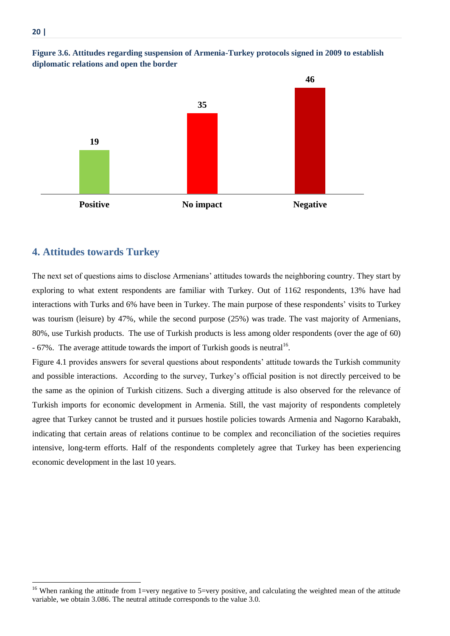

#### **Figure 3.6. Attitudes regarding suspension of Armenia-Turkey protocols signed in 2009 to establish diplomatic relations and open the border**

## <span id="page-19-0"></span>**4. Attitudes towards Turkey**

The next set of questions aims to disclose Armenians' attitudes towards the neighboring country. They start by exploring to what extent respondents are familiar with Turkey. Out of 1162 respondents, 13% have had interactions with Turks and 6% have been in Turkey. The main purpose of these respondents' visits to Turkey was tourism (leisure) by 47%, while the second purpose (25%) was trade. The vast majority of Armenians, 80%, use Turkish products. The use of Turkish products is less among older respondents (over the age of 60)  $-67\%$ . The average attitude towards the import of Turkish goods is neutral<sup>16</sup>.

Figure 4.1 provides answers for several questions about respondents' attitude towards the Turkish community and possible interactions. According to the survey, Turkey's official position is not directly perceived to be the same as the opinion of Turkish citizens. Such a diverging attitude is also observed for the relevance of Turkish imports for economic development in Armenia. Still, the vast majority of respondents completely agree that Turkey cannot be trusted and it pursues hostile policies towards Armenia and Nagorno Karabakh, indicating that certain areas of relations continue to be complex and reconciliation of the societies requires intensive, long-term efforts. Half of the respondents completely agree that Turkey has been experiencing economic development in the last 10 years.

<sup>&</sup>lt;sup>16</sup> When ranking the attitude from 1=very negative to 5=very positive, and calculating the weighted mean of the attitude variable, we obtain 3.086. The neutral attitude corresponds to the value 3.0.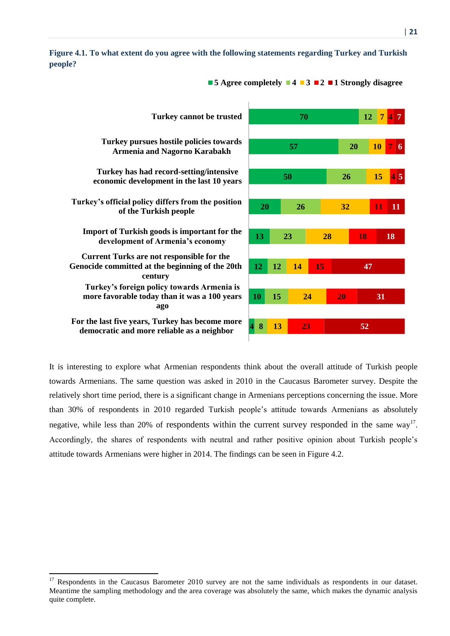**people?**



**Figure 4.1. To what extent do you agree with the following statements regarding Turkey and Turkish** 

It is interesting to explore what Armenian respondents think about the overall attitude of Turkish people towards Armenians. The same question was asked in 2010 in the Caucasus Barometer survey. Despite the relatively short time period, there is a significant change in Armenians perceptions concerning the issue. More than 30% of respondents in 2010 regarded Turkish people's attitude towards Armenians as absolutely negative, while less than 20% of respondents within the current survey responded in the same way<sup>17</sup>. Accordingly, the shares of respondents with neutral and rather positive opinion about Turkish people's attitude towards Armenians were higher in 2014. The findings can be seen in Figure 4.2.

 $17$  Respondents in the Caucasus Barometer 2010 survey are not the same individuals as respondents in our dataset. Meantime the sampling methodology and the area coverage was absolutely the same, which makes the dynamic analysis quite complete.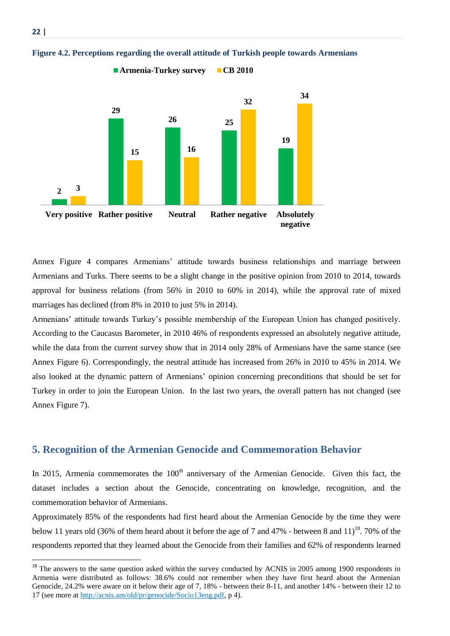

#### **Figure 4.2. Perceptions regarding the overall attitude of Turkish people towards Armenians**

**22 |** 

1

Annex Figure 4 compares Armenians' attitude towards business relationships and marriage between Armenians and Turks. There seems to be a slight change in the positive opinion from 2010 to 2014, towards approval for business relations (from 56% in 2010 to 60% in 2014), while the approval rate of mixed marriages has declined (from 8% in 2010 to just 5% in 2014).

Armenians' attitude towards Turkey's possible membership of the European Union has changed positively. According to the Caucasus Barometer, in 2010 46% of respondents expressed an absolutely negative attitude, while the data from the current survey show that in 2014 only 28% of Armenians have the same stance (see Annex Figure 6). Correspondingly, the neutral attitude has increased from 26% in 2010 to 45% in 2014. We also looked at the dynamic pattern of Armenians' opinion concerning preconditions that should be set for Turkey in order to join the European Union. In the last two years, the overall pattern has not changed (see Annex Figure 7).

## <span id="page-21-0"></span>**5. Recognition of the Armenian Genocide and Commemoration Behavior**

In 2015, Armenia commemorates the  $100<sup>th</sup>$  anniversary of the Armenian Genocide. Given this fact, the dataset includes a section about the Genocide, concentrating on knowledge, recognition, and the commemoration behavior of Armenians.

Approximately 85% of the respondents had first heard about the Armenian Genocide by the time they were below 11 years old (36% of them heard about it before the age of 7 and 47% - between 8 and 11)<sup>18</sup>. 70% of the respondents reported that they learned about the Genocide from their families and 62% of respondents learned

 $18$  The answers to the same question asked within the survey conducted by ACNIS in 2005 among 1900 respondents in Armenia were distributed as follows: 38.6% could not remember when they have first heard about the Armenian Genocide, 24.2% were aware on it below their age of 7, 18% - between their 8-11, and another 14% - between their 12 to 17 (see more at [http://acnis.am/old/pr/genocide/Socio13eng.pdf,](http://acnis.am/old/pr/genocide/Socio13eng.pdf) p 4).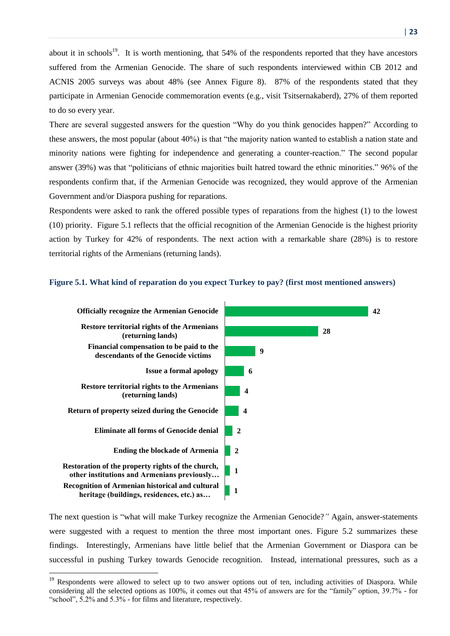about it in schools<sup>19</sup>. It is worth mentioning, that 54% of the respondents reported that they have ancestors suffered from the Armenian Genocide. The share of such respondents interviewed within CB 2012 and ACNIS 2005 surveys was about 48% (see Annex Figure 8). 87% of the respondents stated that they participate in Armenian Genocide commemoration events (e.g., visit Tsitsernakaberd), 27% of them reported to do so every year.

There are several suggested answers for the question "Why do you think genocides happen?" According to these answers, the most popular (about 40%) is that "the majority nation wanted to establish a nation state and minority nations were fighting for independence and generating a counter-reaction." The second popular answer (39%) was that "politicians of ethnic majorities built hatred toward the ethnic minorities." 96% of the respondents confirm that, if the Armenian Genocide was recognized, they would approve of the Armenian Government and/or Diaspora pushing for reparations.

Respondents were asked to rank the offered possible types of reparations from the highest (1) to the lowest (10) priority. Figure 5.1 reflects that the official recognition of the Armenian Genocide is the highest priority action by Turkey for 42% of respondents. The next action with a remarkable share (28%) is to restore territorial rights of the Armenians (returning lands).

#### **Figure 5.1. What kind of reparation do you expect Turkey to pay? (first most mentioned answers)**



The next question is "what will make Turkey recognize the Armenian Genocide?*"* Again, answer-statements were suggested with a request to mention the three most important ones. Figure 5.2 summarizes these findings. Interestingly, Armenians have little belief that the Armenian Government or Diaspora can be successful in pushing Turkey towards Genocide recognition. Instead, international pressures, such as a

<sup>&</sup>lt;sup>19</sup> Respondents were allowed to select up to two answer options out of ten, including activities of Diaspora. While considering all the selected options as 100%, it comes out that 45% of answers are for the "family" option, 39.7% - for "school", 5.2% and 5.3% - for films and literature, respectively.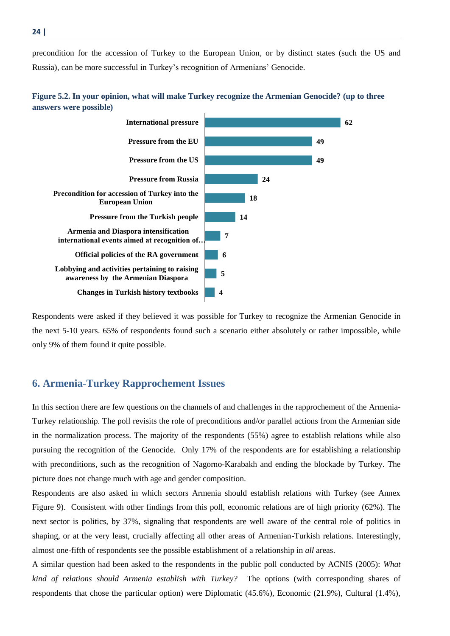precondition for the accession of Turkey to the European Union, or by distinct states (such the US and Russia), can be more successful in Turkey's recognition of Armenians' Genocide.





Respondents were asked if they believed it was possible for Turkey to recognize the Armenian Genocide in the next 5-10 years. 65% of respondents found such a scenario either absolutely or rather impossible, while only 9% of them found it quite possible.

# <span id="page-23-0"></span>**6. Armenia-Turkey Rapprochement Issues**

In this section there are few questions on the channels of and challenges in the rapprochement of the Armenia-Turkey relationship. The poll revisits the role of preconditions and/or parallel actions from the Armenian side in the normalization process. The majority of the respondents (55%) agree to establish relations while also pursuing the recognition of the Genocide. Only 17% of the respondents are for establishing a relationship with preconditions, such as the recognition of Nagorno-Karabakh and ending the blockade by Turkey. The picture does not change much with age and gender composition.

Respondents are also asked in which sectors Armenia should establish relations with Turkey (see Annex Figure 9). Consistent with other findings from this poll, economic relations are of high priority (62%). The next sector is politics, by 37%, signaling that respondents are well aware of the central role of politics in shaping, or at the very least, crucially affecting all other areas of Armenian-Turkish relations. Interestingly, almost one-fifth of respondents see the possible establishment of a relationship in *all* areas.

A similar question had been asked to the respondents in the public poll conducted by ACNIS (2005): *What kind of relations should Armenia establish with Turkey?* The options (with corresponding shares of respondents that chose the particular option) were Diplomatic (45.6%), Economic (21.9%), Cultural (1.4%),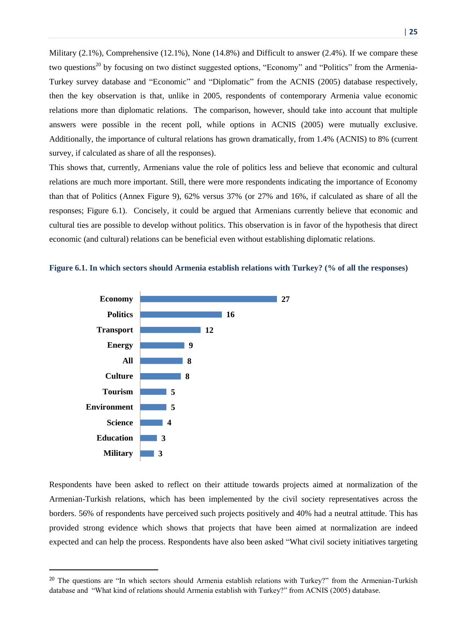Military (2.1%), Comprehensive (12.1%), None (14.8%) and Difficult to answer (2.4%). If we compare these two questions<sup>20</sup> by focusing on two distinct suggested options, "Economy" and "Politics" from the Armenia-Turkey survey database and "Economic" and "Diplomatic" from the ACNIS (2005) database respectively, then the key observation is that, unlike in 2005, respondents of contemporary Armenia value economic relations more than diplomatic relations. The comparison, however, should take into account that multiple answers were possible in the recent poll, while options in ACNIS (2005) were mutually exclusive. Additionally, the importance of cultural relations has grown dramatically, from 1.4% (ACNIS) to 8% (current survey, if calculated as share of all the responses).

This shows that, currently, Armenians value the role of politics less and believe that economic and cultural relations are much more important. Still, there were more respondents indicating the importance of Economy than that of Politics (Annex Figure 9), 62% versus 37% (or 27% and 16%, if calculated as share of all the responses; Figure 6.1). Concisely, it could be argued that Armenians currently believe that economic and cultural ties are possible to develop without politics. This observation is in favor of the hypothesis that direct economic (and cultural) relations can be beneficial even without establishing diplomatic relations.



 $\overline{a}$ 

#### **Figure 6.1. In which sectors should Armenia establish relations with Turkey? (% of all the responses)**

Respondents have been asked to reflect on their attitude towards projects aimed at normalization of the Armenian-Turkish relations, which has been implemented by the civil society representatives across the borders. 56% of respondents have perceived such projects positively and 40% had a neutral attitude. This has provided strong evidence which shows that projects that have been aimed at normalization are indeed expected and can help the process. Respondents have also been asked "What civil society initiatives targeting

<sup>&</sup>lt;sup>20</sup> The questions are "In which sectors should Armenia establish relations with Turkey?" from the Armenian-Turkish database and "What kind of relations should Armenia establish with Turkey?" from ACNIS (2005) database.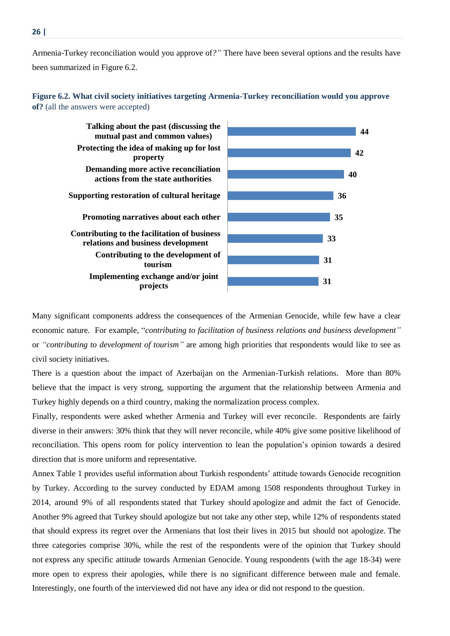Armenia-Turkey reconciliation would you approve of*?"* There have been several options and the results have been summarized in Figure 6.2.

# **Figure 6.2. What civil society initiatives targeting Armenia-Turkey reconciliation would you approve of?** (all the answers were accepted)



Many significant components address the consequences of the Armenian Genocide, while few have a clear economic nature. For example, "*contributing to facilitation of business relations and business development"* or *"contributing to development of tourism"* are among high priorities that respondents would like to see as civil society initiatives.

There is a question about the impact of Azerbaijan on the Armenian-Turkish relations. More than 80% believe that the impact is very strong, supporting the argument that the relationship between Armenia and Turkey highly depends on a third country, making the normalization process complex.

Finally, respondents were asked whether Armenia and Turkey will ever reconcile. Respondents are fairly diverse in their answers: 30% think that they will never reconcile, while 40% give some positive likelihood of reconciliation. This opens room for policy intervention to lean the population's opinion towards a desired direction that is more uniform and representative.

Annex Table 1 provides useful information about Turkish respondents' attitude towards Genocide recognition by Turkey. According to the survey conducted by EDAM among 1508 respondents throughout Turkey in 2014, around 9% of all respondents stated that Turkey should apologize and admit the fact of Genocide. Another 9% agreed that Turkey should apologize but not take any other step, while 12% of respondents stated that should express its regret over the Armenians that lost their lives in 2015 but should not apologize. The three categories comprise 30%, while the rest of the respondents were of the opinion that Turkey should not express any specific attitude towards Armenian Genocide. Young respondents (with the age 18-34) were more open to express their apologies, while there is no significant difference between male and female. Interestingly, one fourth of the interviewed did not have any idea or did not respond to the question.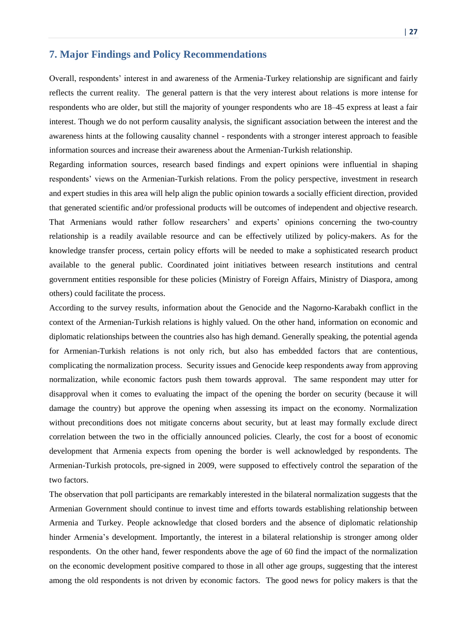# <span id="page-26-0"></span>**7. Major Findings and Policy Recommendations**

Overall, respondents' interest in and awareness of the Armenia-Turkey relationship are significant and fairly reflects the current reality. The general pattern is that the very interest about relations is more intense for respondents who are older, but still the majority of younger respondents who are 18–45 express at least a fair interest. Though we do not perform causality analysis, the significant association between the interest and the awareness hints at the following causality channel - respondents with a stronger interest approach to feasible information sources and increase their awareness about the Armenian-Turkish relationship.

Regarding information sources, research based findings and expert opinions were influential in shaping respondents' views on the Armenian-Turkish relations. From the policy perspective, investment in research and expert studies in this area will help align the public opinion towards a socially efficient direction, provided that generated scientific and/or professional products will be outcomes of independent and objective research. That Armenians would rather follow researchers' and experts' opinions concerning the two-country relationship is a readily available resource and can be effectively utilized by policy-makers. As for the knowledge transfer process, certain policy efforts will be needed to make a sophisticated research product available to the general public. Coordinated joint initiatives between research institutions and central government entities responsible for these policies (Ministry of Foreign Affairs, Ministry of Diaspora, among others) could facilitate the process.

According to the survey results, information about the Genocide and the Nagorno-Karabakh conflict in the context of the Armenian-Turkish relations is highly valued. On the other hand, information on economic and diplomatic relationships between the countries also has high demand. Generally speaking, the potential agenda for Armenian-Turkish relations is not only rich, but also has embedded factors that are contentious, complicating the normalization process. Security issues and Genocide keep respondents away from approving normalization, while economic factors push them towards approval. The same respondent may utter for disapproval when it comes to evaluating the impact of the opening the border on security (because it will damage the country) but approve the opening when assessing its impact on the economy. Normalization without preconditions does not mitigate concerns about security, but at least may formally exclude direct correlation between the two in the officially announced policies. Clearly, the cost for a boost of economic development that Armenia expects from opening the border is well acknowledged by respondents. The Armenian-Turkish protocols, pre-signed in 2009, were supposed to effectively control the separation of the two factors.

The observation that poll participants are remarkably interested in the bilateral normalization suggests that the Armenian Government should continue to invest time and efforts towards establishing relationship between Armenia and Turkey. People acknowledge that closed borders and the absence of diplomatic relationship hinder Armenia's development. Importantly, the interest in a bilateral relationship is stronger among older respondents. On the other hand, fewer respondents above the age of 60 find the impact of the normalization on the economic development positive compared to those in all other age groups, suggesting that the interest among the old respondents is not driven by economic factors. The good news for policy makers is that the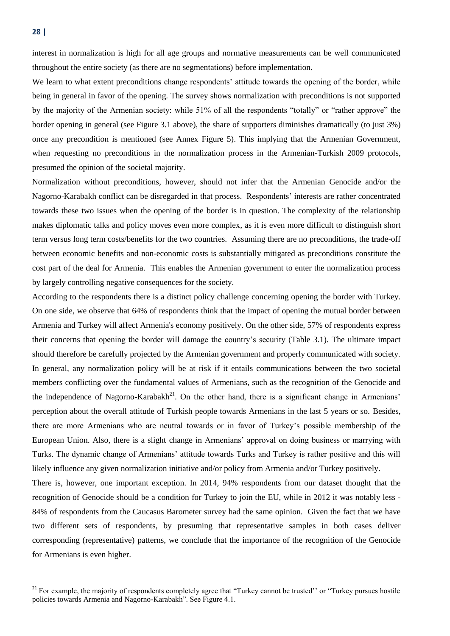interest in normalization is high for all age groups and normative measurements can be well communicated throughout the entire society (as there are no segmentations) before implementation.

We learn to what extent preconditions change respondents' attitude towards the opening of the border, while being in general in favor of the opening. The survey shows normalization with preconditions is not supported by the majority of the Armenian society: while 51% of all the respondents "totally" or "rather approve" the border opening in general (see Figure 3.1 above), the share of supporters diminishes dramatically (to just 3%) once any precondition is mentioned (see Annex Figure 5). This implying that the Armenian Government, when requesting no preconditions in the normalization process in the Armenian-Turkish 2009 protocols, presumed the opinion of the societal majority.

Normalization without preconditions, however, should not infer that the Armenian Genocide and/or the Nagorno-Karabakh conflict can be disregarded in that process. Respondents' interests are rather concentrated towards these two issues when the opening of the border is in question. The complexity of the relationship makes diplomatic talks and policy moves even more complex, as it is even more difficult to distinguish short term versus long term costs/benefits for the two countries. Assuming there are no preconditions, the trade-off between economic benefits and non-economic costs is substantially mitigated as preconditions constitute the cost part of the deal for Armenia. This enables the Armenian government to enter the normalization process by largely controlling negative consequences for the society.

According to the respondents there is a distinct policy challenge concerning opening the border with Turkey. On one side, we observe that 64% of respondents think that the impact of opening the mutual border between Armenia and Turkey will affect Armenia's economy positively. On the other side, 57% of respondents express their concerns that opening the border will damage the country's security (Table 3.1). The ultimate impact should therefore be carefully projected by the Armenian government and properly communicated with society. In general, any normalization policy will be at risk if it entails communications between the two societal members conflicting over the fundamental values of Armenians, such as the recognition of the Genocide and the independence of Nagorno-Karabakh<sup>21</sup>. On the other hand, there is a significant change in Armenians' perception about the overall attitude of Turkish people towards Armenians in the last 5 years or so. Besides, there are more Armenians who are neutral towards or in favor of Turkey's possible membership of the European Union. Also, there is a slight change in Armenians' approval on doing business or marrying with Turks. The dynamic change of Armenians' attitude towards Turks and Turkey is rather positive and this will likely influence any given normalization initiative and/or policy from Armenia and/or Turkey positively.

There is, however, one important exception. In 2014, 94% respondents from our dataset thought that the recognition of Genocide should be a condition for Turkey to join the EU, while in 2012 it was notably less - 84% of respondents from the Caucasus Barometer survey had the same opinion. Given the fact that we have two different sets of respondents, by presuming that representative samples in both cases deliver corresponding (representative) patterns, we conclude that the importance of the recognition of the Genocide for Armenians is even higher.

<sup>&</sup>lt;sup>21</sup> For example, the majority of respondents completely agree that "Turkey cannot be trusted" or "Turkey pursues hostile policies towards Armenia and Nagorno-Karabakh". See Figure 4.1.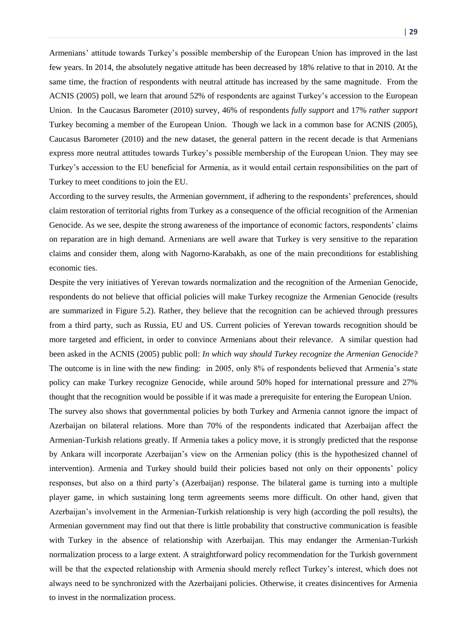Armenians' attitude towards Turkey's possible membership of the European Union has improved in the last few years. In 2014, the absolutely negative attitude has been decreased by 18% relative to that in 2010. At the same time, the fraction of respondents with neutral attitude has increased by the same magnitude. From the ACNIS (2005) poll, we learn that around 52% of respondents are against Turkey's accession to the European Union. In the Caucasus Barometer (2010) survey, 46% of respondents *fully support* and 17% *rather support* Turkey becoming a member of the European Union. Though we lack in a common base for ACNIS (2005), Caucasus Barometer (2010) and the new dataset, the general pattern in the recent decade is that Armenians express more neutral attitudes towards Turkey's possible membership of the European Union. They may see Turkey's accession to the EU beneficial for Armenia, as it would entail certain responsibilities on the part of Turkey to meet conditions to join the EU.

According to the survey results, the Armenian government, if adhering to the respondents' preferences, should claim restoration of territorial rights from Turkey as a consequence of the official recognition of the Armenian Genocide. As we see, despite the strong awareness of the importance of economic factors, respondents' claims on reparation are in high demand. Armenians are well aware that Turkey is very sensitive to the reparation claims and consider them, along with Nagorno-Karabakh, as one of the main preconditions for establishing economic ties.

Despite the very initiatives of Yerevan towards normalization and the recognition of the Armenian Genocide, respondents do not believe that official policies will make Turkey recognize the Armenian Genocide (results are summarized in Figure 5.2). Rather, they believe that the recognition can be achieved through pressures from a third party, such as Russia, EU and US. Current policies of Yerevan towards recognition should be more targeted and efficient, in order to convince Armenians about their relevance. A similar question had been asked in the ACNIS (2005) public poll: *In which way should Turkey recognize the Armenian Genocide?* The outcome is in line with the new finding: in 2005, only 8% of respondents believed that Armenia's state policy can make Turkey recognize Genocide, while around 50% hoped for international pressure and 27% thought that the recognition would be possible if it was made a prerequisite for entering the European Union.

The survey also shows that governmental policies by both Turkey and Armenia cannot ignore the impact of Azerbaijan on bilateral relations. More than 70% of the respondents indicated that Azerbaijan affect the Armenian-Turkish relations greatly. If Armenia takes a policy move, it is strongly predicted that the response by Ankara will incorporate Azerbaijan's view on the Armenian policy (this is the hypothesized channel of intervention). Armenia and Turkey should build their policies based not only on their opponents' policy responses, but also on a third party's (Azerbaijan) response. The bilateral game is turning into a multiple player game, in which sustaining long term agreements seems more difficult. On other hand, given that Azerbaijan's involvement in the Armenian-Turkish relationship is very high (according the poll results), the Armenian government may find out that there is little probability that constructive communication is feasible with Turkey in the absence of relationship with Azerbaijan. This may endanger the Armenian-Turkish normalization process to a large extent. A straightforward policy recommendation for the Turkish government will be that the expected relationship with Armenia should merely reflect Turkey's interest, which does not always need to be synchronized with the Azerbaijani policies. Otherwise, it creates disincentives for Armenia to invest in the normalization process.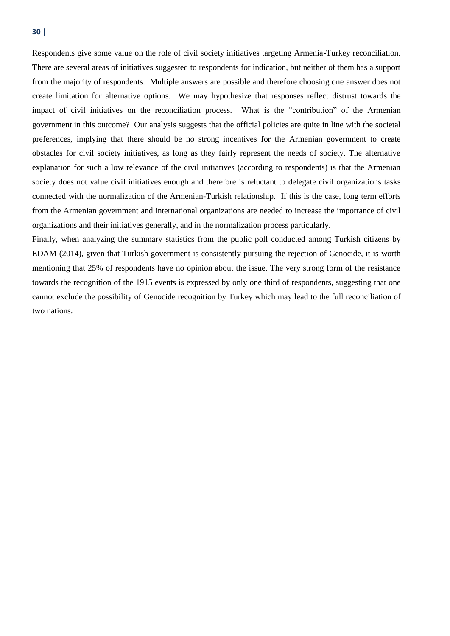Respondents give some value on the role of civil society initiatives targeting Armenia-Turkey reconciliation. There are several areas of initiatives suggested to respondents for indication, but neither of them has a support from the majority of respondents. Multiple answers are possible and therefore choosing one answer does not create limitation for alternative options. We may hypothesize that responses reflect distrust towards the impact of civil initiatives on the reconciliation process. What is the "contribution" of the Armenian government in this outcome? Our analysis suggests that the official policies are quite in line with the societal preferences, implying that there should be no strong incentives for the Armenian government to create obstacles for civil society initiatives, as long as they fairly represent the needs of society. The alternative explanation for such a low relevance of the civil initiatives (according to respondents) is that the Armenian society does not value civil initiatives enough and therefore is reluctant to delegate civil organizations tasks connected with the normalization of the Armenian-Turkish relationship. If this is the case, long term efforts from the Armenian government and international organizations are needed to increase the importance of civil organizations and their initiatives generally, and in the normalization process particularly.

Finally, when analyzing the summary statistics from the public poll conducted among Turkish citizens by EDAM (2014), given that Turkish government is consistently pursuing the rejection of Genocide, it is worth mentioning that 25% of respondents have no opinion about the issue. The very strong form of the resistance towards the recognition of the 1915 events is expressed by only one third of respondents, suggesting that one cannot exclude the possibility of Genocide recognition by Turkey which may lead to the full reconciliation of two nations.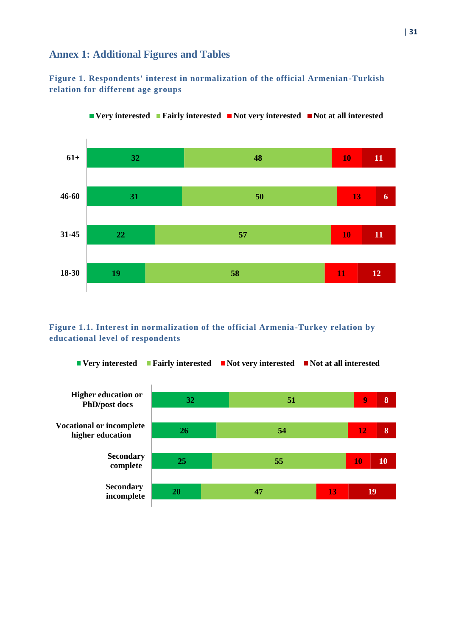# <span id="page-30-0"></span>**Annex 1: Additional Figures and Tables**

# **Figure 1. Respondents' interest in normalization of the official Armenian-Turkish relation for different age groups**





# **Figure 1.1. Interest in normalization of the official Armenia-Turkey relation by educational level of respondents**

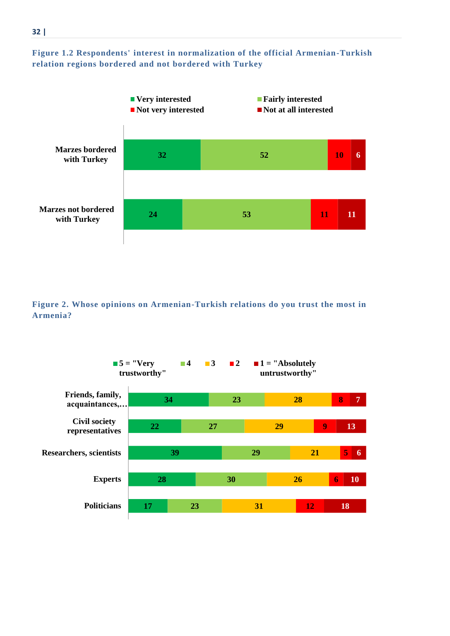



**Figure 2. Whose opinions on Armenian-Turkish relations do you trust the most in Armenia?**

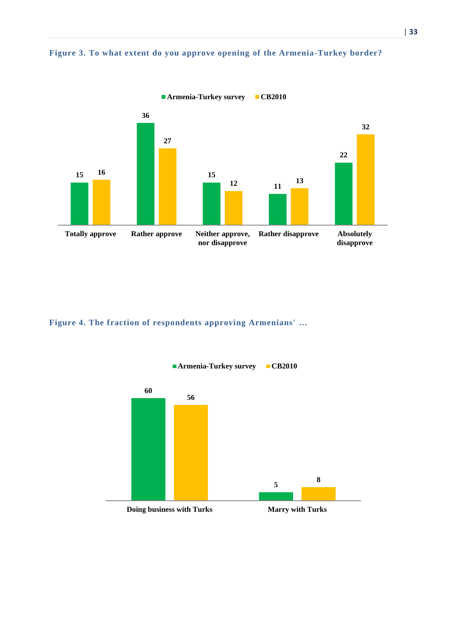



**Figure 4. The fraction of respondents approving Armenians' …**

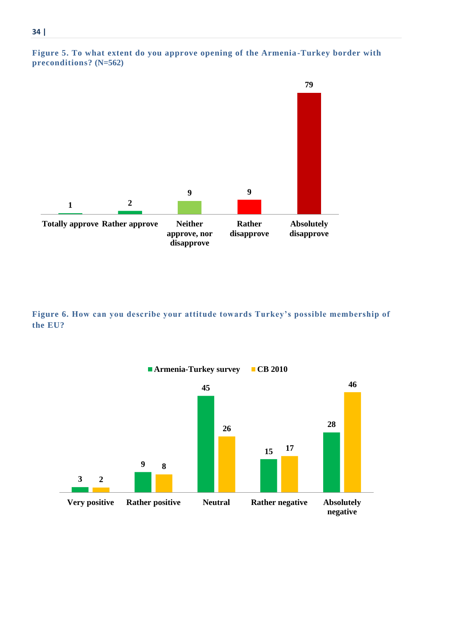



**Figure 6. How can you describe your attitude towards Turkey's possible membership of the EU?**

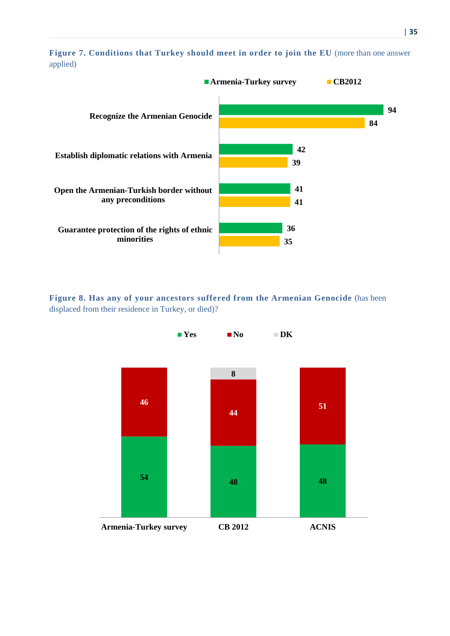



**Figure 8. Has any of your ancestors suffered from the Armenian Genocide** (has been displaced from their residence in Turkey, or died)?

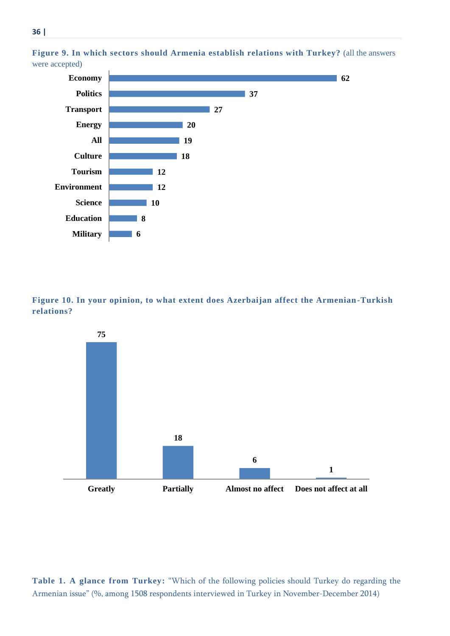

**Figure 9. In which sectors should Armenia establish relations with Turkey?** (all the answers were accepted)

**Figure 10. In your opinion, to what extent does Azerbaijan affect the Armenian-Turkish relations?**



**Table 1. A glance from Turkey:** "Which of the following policies should Turkey do regarding the Armenian issue" (%, among 1508 respondents interviewed in Turkey in November-December 2014)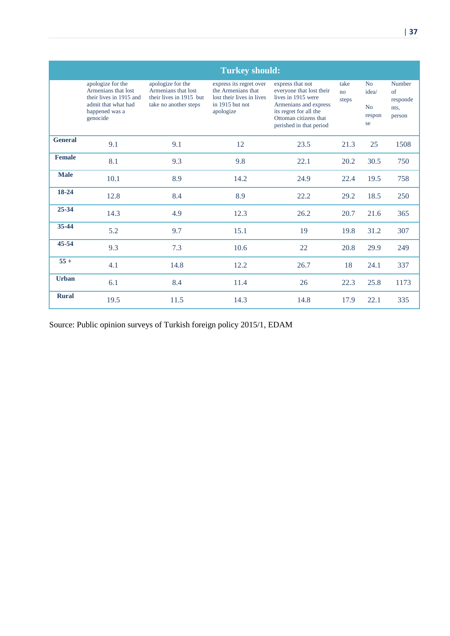|                | <b>Turkey should:</b>                                                                                                    |                                                                                              |                                                                                                            |                                                                                                                                                                           |                     |                                   |                                                    |
|----------------|--------------------------------------------------------------------------------------------------------------------------|----------------------------------------------------------------------------------------------|------------------------------------------------------------------------------------------------------------|---------------------------------------------------------------------------------------------------------------------------------------------------------------------------|---------------------|-----------------------------------|----------------------------------------------------|
|                | apologize for the<br>Armenians that lost<br>their lives in 1915 and<br>admit that what had<br>happened was a<br>genocide | apologize for the<br>Armenians that lost<br>their lives in 1915 but<br>take no another steps | express its regret over<br>the Armenians that<br>lost their lives in lives<br>in 1915 but not<br>apologize | express that not<br>everyone that lost their<br>lives in 1915 were<br>Armenians and express<br>its regret for all the<br>Ottoman citizens that<br>perished in that period | take<br>no<br>steps | No<br>idea/<br>No<br>respon<br>se | Number<br>$\sigma$ f<br>responde<br>nts,<br>person |
| <b>General</b> | 9.1                                                                                                                      | 9.1                                                                                          | 12                                                                                                         | 23.5                                                                                                                                                                      | 21.3                | 25                                | 1508                                               |
| <b>Female</b>  | 8.1                                                                                                                      | 9.3                                                                                          | 9.8                                                                                                        | 22.1                                                                                                                                                                      | 20.2                | 30.5                              | 750                                                |
| <b>Male</b>    | 10.1                                                                                                                     | 8.9                                                                                          | 14.2                                                                                                       | 24.9                                                                                                                                                                      | 22.4                | 19.5                              | 758                                                |
| 18-24          | 12.8                                                                                                                     | 8.4                                                                                          | 8.9                                                                                                        | 22.2                                                                                                                                                                      | 29.2                | 18.5                              | 250                                                |
| 25-34          | 14.3                                                                                                                     | 4.9                                                                                          | 12.3                                                                                                       | 26.2                                                                                                                                                                      | 20.7                | 21.6                              | 365                                                |
| $35 - 44$      | 5.2                                                                                                                      | 9.7                                                                                          | 15.1                                                                                                       | 19                                                                                                                                                                        | 19.8                | 31.2                              | 307                                                |
| 45-54          | 9.3                                                                                                                      | 7.3                                                                                          | 10.6                                                                                                       | 22                                                                                                                                                                        | 20.8                | 29.9                              | 249                                                |
| $55+$          | 4.1                                                                                                                      | 14.8                                                                                         | 12.2                                                                                                       | 26.7                                                                                                                                                                      | 18                  | 24.1                              | 337                                                |
| <b>Urban</b>   | 6.1                                                                                                                      | 8.4                                                                                          | 11.4                                                                                                       | 26                                                                                                                                                                        | 22.3                | 25.8                              | 1173                                               |
| <b>Rural</b>   | 19.5                                                                                                                     | 11.5                                                                                         | 14.3                                                                                                       | 14.8                                                                                                                                                                      | 17.9                | 22.1                              | 335                                                |

Source: Public opinion surveys of Turkish foreign policy 2015/1, EDAM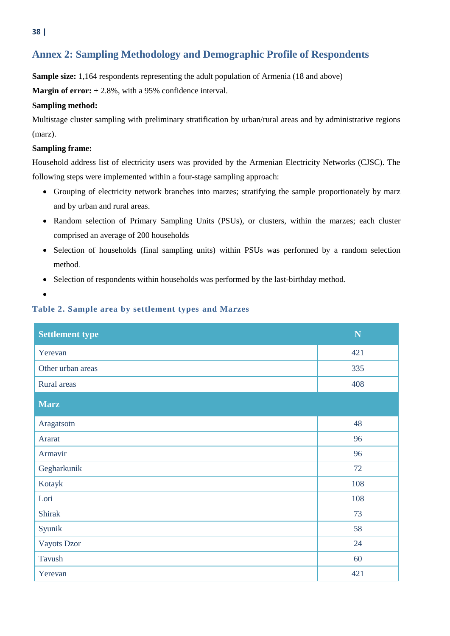# <span id="page-37-0"></span>**Annex 2: Sampling Methodology and Demographic Profile of Respondents**

**Sample size:** 1,164 respondents representing the adult population of Armenia (18 and above)

**Margin of error:**  $\pm 2.8\%$ , with a 95% confidence interval.

#### **Sampling method:**

Multistage cluster sampling with preliminary stratification by urban/rural areas and by administrative regions (marz).

#### **Sampling frame:**

Household address list of electricity users was provided by the Armenian Electricity Networks (CJSC). The following steps were implemented within a four-stage sampling approach:

- Grouping of electricity network branches into marzes; stratifying the sample proportionately by marz and by urban and rural areas.
- Random selection of Primary Sampling Units (PSUs), or clusters, within the marzes; each cluster comprised an average of 200 households
- Selection of households (final sampling units) within PSUs was performed by a random selection method.
- Selection of respondents within households was performed by the last-birthday method.
- $\bullet$

## **Table 2. Sample area by settlement types and Marzes**

| <b>Settlement type</b> | ${\bf N}$ |
|------------------------|-----------|
| Yerevan                | 421       |
| Other urban areas      | 335       |
| Rural areas            | 408       |
| <b>Marz</b>            |           |
| Aragatsotn             | 48        |
| Ararat                 | 96        |
| Armavir                | 96        |
| Gegharkunik            | 72        |
| Kotayk                 | 108       |
| Lori                   | 108       |
| <b>Shirak</b>          | 73        |
| Syunik                 | 58        |
| Vayots Dzor            | 24        |
| Tavush                 | 60        |
| Yerevan                | 421       |